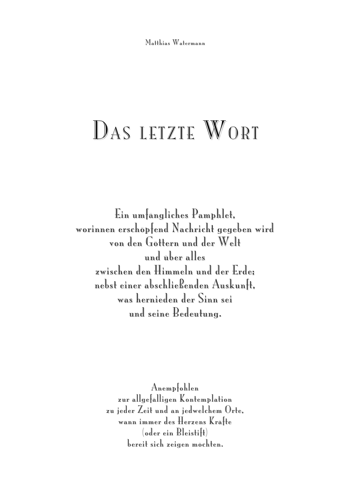Matthias Watermann

## DAS LETZTE WORT

Ein umfängliches Pamphlet, worinnen erschöpfend Nachricht gegeben wird von den Göttern und der Welt und über alles zwischen den Himmeln und der Erde; nebst einer abschließenden Auskunft, was hernieden der Sinn sei und seine Bedeutung.

> Anempfohlen zur allgefälligen Kontemplation zu jeder Zeit und an jedwelchem Orte, wann immer des Herzens Kräfte (oder ein Bleistift) bereit sich zeigen möchten.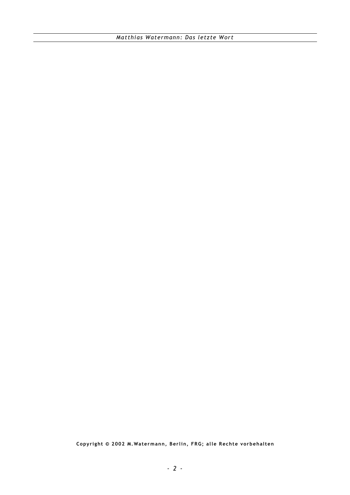**Copyr i ght © 2002 M.Watermann, Ber lin, FRG; all e Rechte vorbehalten**